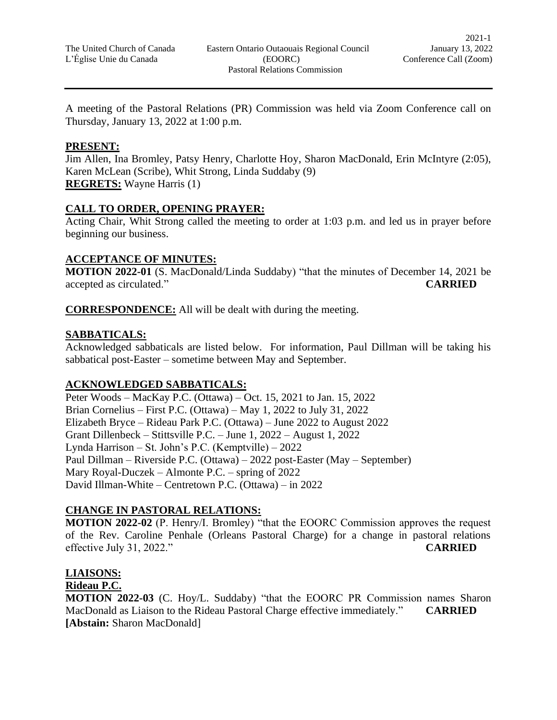A meeting of the Pastoral Relations (PR) Commission was held via Zoom Conference call on Thursday, January 13, 2022 at 1:00 p.m.

#### **PRESENT:**

Jim Allen, Ina Bromley, Patsy Henry, Charlotte Hoy, Sharon MacDonald, Erin McIntyre (2:05), Karen McLean (Scribe), Whit Strong, Linda Suddaby (9) **REGRETS:** Wayne Harris (1)

# **CALL TO ORDER, OPENING PRAYER:**

Acting Chair, Whit Strong called the meeting to order at 1:03 p.m. and led us in prayer before beginning our business.

#### **ACCEPTANCE OF MINUTES:**

**MOTION 2022-01** (S. MacDonald/Linda Suddaby) "that the minutes of December 14, 2021 be accepted as circulated." **CARRIED**

**CORRESPONDENCE:** All will be dealt with during the meeting.

#### **SABBATICALS:**

Acknowledged sabbaticals are listed below. For information, Paul Dillman will be taking his sabbatical post-Easter – sometime between May and September.

# **ACKNOWLEDGED SABBATICALS:**

Peter Woods – MacKay P.C. (Ottawa) – Oct. 15, 2021 to Jan. 15, 2022 Brian Cornelius – First P.C. (Ottawa) – May 1, 2022 to July 31, 2022 Elizabeth Bryce – Rideau Park P.C. (Ottawa) – June 2022 to August 2022 Grant Dillenbeck – Stittsville P.C. – June 1, 2022 – August 1, 2022 Lynda Harrison – St. John's P.C. (Kemptville) – 2022 Paul Dillman – Riverside P.C. (Ottawa) – 2022 post-Easter (May – September) Mary Royal-Duczek – Almonte P.C. – spring of 2022 David Illman-White – Centretown P.C. (Ottawa) – in 2022

# **CHANGE IN PASTORAL RELATIONS:**

**MOTION 2022-02** (P. Henry/I. Bromley) "that the EOORC Commission approves the request of the Rev. Caroline Penhale (Orleans Pastoral Charge) for a change in pastoral relations effective July 31, 2022." **CARRIED**

# **LIAISONS:**

# **Rideau P.C.**

**MOTION 2022-03** (C. Hoy/L. Suddaby) "that the EOORC PR Commission names Sharon MacDonald as Liaison to the Rideau Pastoral Charge effective immediately." **CARRIED [Abstain:** Sharon MacDonald]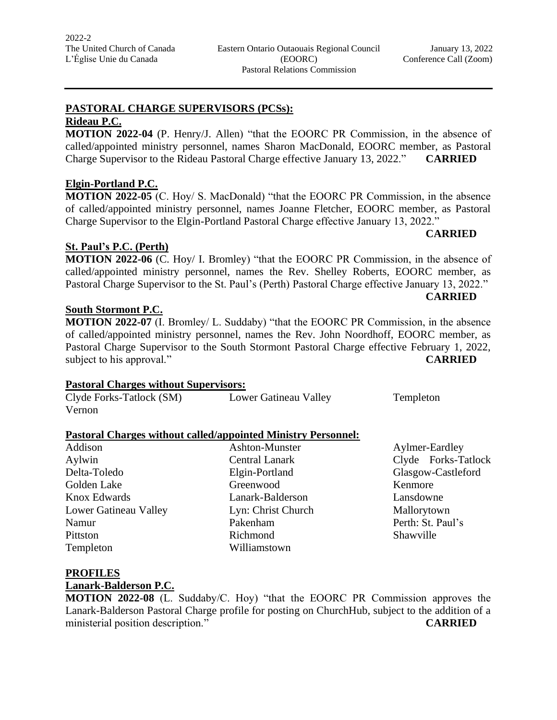# **PASTORAL CHARGE SUPERVISORS (PCSs):**

# **Rideau P.C.**

**MOTION 2022-04** (P. Henry/J. Allen) "that the EOORC PR Commission, in the absence of called/appointed ministry personnel, names Sharon MacDonald, EOORC member, as Pastoral Charge Supervisor to the Rideau Pastoral Charge effective January 13, 2022." **CARRIED**

# **Elgin-Portland P.C.**

**MOTION 2022-05** (C. Hoy/ S. MacDonald) "that the EOORC PR Commission, in the absence of called/appointed ministry personnel, names Joanne Fletcher, EOORC member, as Pastoral Charge Supervisor to the Elgin-Portland Pastoral Charge effective January 13, 2022."

# **St. Paul's P.C. (Perth)**

**MOTION 2022-06** (C. Hoy/ I. Bromley) "that the EOORC PR Commission, in the absence of called/appointed ministry personnel, names the Rev. Shelley Roberts, EOORC member, as Pastoral Charge Supervisor to the St. Paul's (Perth) Pastoral Charge effective January 13, 2022."

**CARRIED**

**CARRIED**

#### **South Stormont P.C.**

**MOTION 2022-07** (I. Bromley/ L. Suddaby) "that the EOORC PR Commission, in the absence of called/appointed ministry personnel, names the Rev. John Noordhoff, EOORC member, as Pastoral Charge Supervisor to the South Stormont Pastoral Charge effective February 1, 2022, subject to his approval." CARRIED

# **Pastoral Charges without Supervisors:**

| Clyde Forks-Tatlock (SM) | Lower Gatineau Valley | Templeton |
|--------------------------|-----------------------|-----------|
| Vernon                   |                       |           |

# **Pastoral Charges without called/appointed Ministry Personnel:**

| Addison               | Ashton-Munster     | Aylmer-E   |
|-----------------------|--------------------|------------|
| Aylwin                | Central Lanark     | $Clyde$ F  |
| Delta-Toledo          | Elgin-Portland     | Glasgow-   |
| Golden Lake           | Greenwood          | Kenmore    |
| <b>Knox Edwards</b>   | Lanark-Balderson   | Lansdown   |
| Lower Gatineau Valley | Lyn: Christ Church | Malloryto  |
| Namur                 | Pakenham           | Perth: St. |
| Pittston              | Richmond           | Shawville  |
| Templeton             | Williamstown       |            |
|                       |                    |            |

Greenwood Kenmore Lanark-Balderson Lansdowne Lyn: Christ Church Mallorytown Pakenham Perth: St. Paul's Williamstown

Ashton-Munster Aylmer-Eardley Aylwin Central Lanark Clyde Forks-Tatlock Elgin-Portland Glasgow-Castleford

# **PROFILES**

#### **Lanark-Balderson P.C.**

**MOTION 2022-08** (L. Suddaby/C. Hoy) "that the EOORC PR Commission approves the Lanark-Balderson Pastoral Charge profile for posting on ChurchHub, subject to the addition of a ministerial position description." **CARRIED**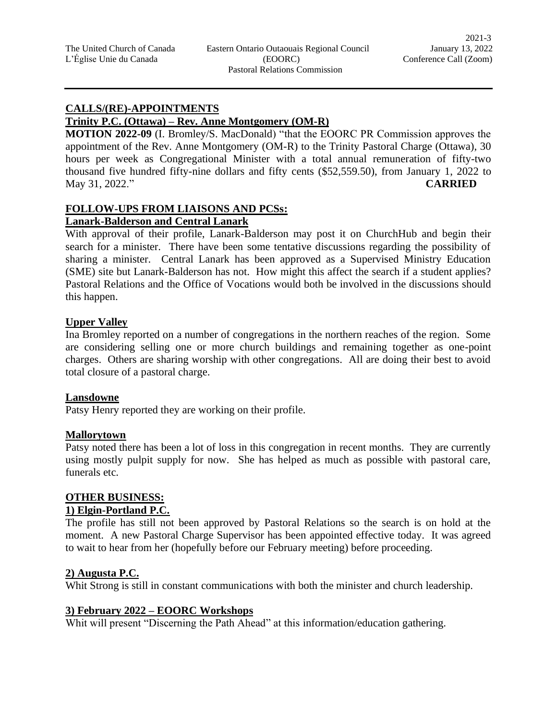#### **CALLS/(RE)-APPOINTMENTS**

#### **Trinity P.C. (Ottawa) – Rev. Anne Montgomery (OM-R)**

**MOTION 2022-09** (I. Bromley/S. MacDonald) "that the EOORC PR Commission approves the appointment of the Rev. Anne Montgomery (OM-R) to the Trinity Pastoral Charge (Ottawa), 30 hours per week as Congregational Minister with a total annual remuneration of fifty-two thousand five hundred fifty-nine dollars and fifty cents (\$52,559.50), from January 1, 2022 to May 31, 2022." **CARRIED**

#### **FOLLOW-UPS FROM LIAISONS AND PCSs: Lanark-Balderson and Central Lanark**

With approval of their profile, Lanark-Balderson may post it on ChurchHub and begin their search for a minister. There have been some tentative discussions regarding the possibility of sharing a minister. Central Lanark has been approved as a Supervised Ministry Education (SME) site but Lanark-Balderson has not. How might this affect the search if a student applies? Pastoral Relations and the Office of Vocations would both be involved in the discussions should this happen.

# **Upper Valley**

Ina Bromley reported on a number of congregations in the northern reaches of the region. Some are considering selling one or more church buildings and remaining together as one-point charges. Others are sharing worship with other congregations. All are doing their best to avoid total closure of a pastoral charge.

#### **Lansdowne**

Patsy Henry reported they are working on their profile.

#### **Mallorytown**

Patsy noted there has been a lot of loss in this congregation in recent months. They are currently using mostly pulpit supply for now. She has helped as much as possible with pastoral care, funerals etc.

# **OTHER BUSINESS:**

#### **1) Elgin-Portland P.C.**

The profile has still not been approved by Pastoral Relations so the search is on hold at the moment. A new Pastoral Charge Supervisor has been appointed effective today. It was agreed to wait to hear from her (hopefully before our February meeting) before proceeding.

# **2) Augusta P.C.**

Whit Strong is still in constant communications with both the minister and church leadership.

# **3) February 2022 – EOORC Workshops**

Whit will present "Discerning the Path Ahead" at this information/education gathering.